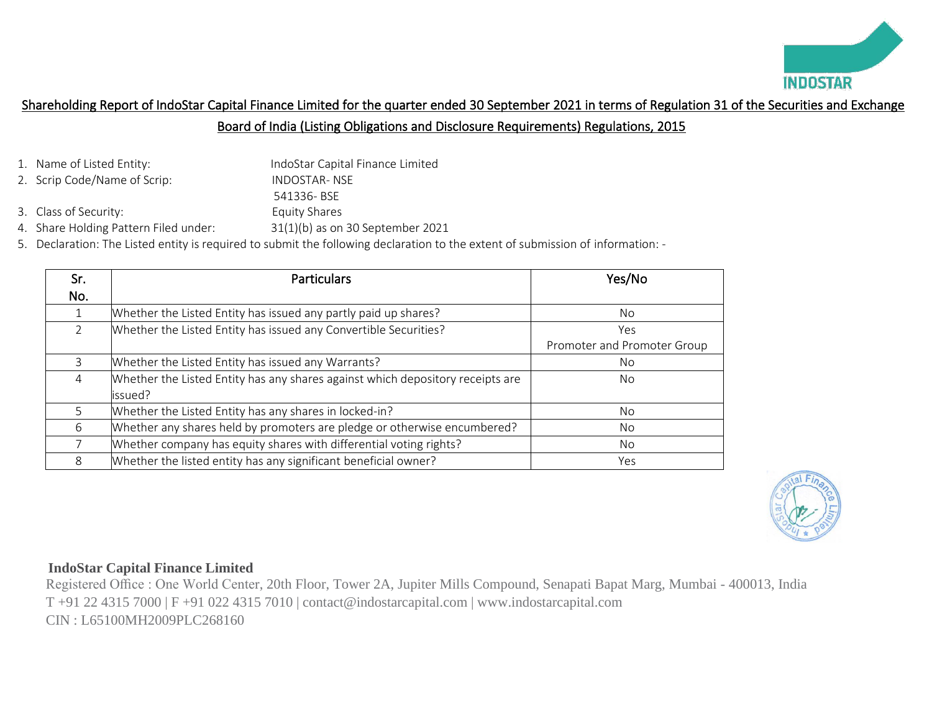

# Shareholding Report of IndoStar Capital Finance Limited for the quarter ended 30 September 2021 in terms of Regulation 31 of the Securities and Exchange Board of India (Listing Obligations and Disclosure Requirements) Regulations, 2015

- 1. Name of Listed Entity: IndoStar Capital Finance Limited
- 2. Scrip Code/Name of Scrip: INDOSTAR- NSE
	- 541336- BSE
- 3. Class of Security: Equity Shares
- 4. Share Holding Pattern Filed under: 31(1)(b) as on 30 September 2021
- 5. Declaration: The Listed entity is required to submit the following declaration to the extent of submission of information: -

| Sr. | <b>Particulars</b>                                                             | Yes/No                      |
|-----|--------------------------------------------------------------------------------|-----------------------------|
| No. |                                                                                |                             |
|     | Whether the Listed Entity has issued any partly paid up shares?                | No.                         |
| 2   | Whether the Listed Entity has issued any Convertible Securities?               | Yes                         |
|     |                                                                                | Promoter and Promoter Group |
| 3   | Whether the Listed Entity has issued any Warrants?                             | No.                         |
| 4   | Whether the Listed Entity has any shares against which depository receipts are | No.                         |
|     | issued?                                                                        |                             |
| 5   | Whether the Listed Entity has any shares in locked-in?                         | No.                         |
| 6   | Whether any shares held by promoters are pledge or otherwise encumbered?       | No.                         |
|     | Whether company has equity shares with differential voting rights?             | No.                         |
| 8   | Whether the listed entity has any significant beneficial owner?                | Yes                         |



## **IndoStar Capital Finance Limited**

 Registered Office : One World Center, 20th Floor, Tower 2A, Jupiter Mills Compound, Senapati Bapat Marg, Mumbai - 400013, India T +91 22 4315 7000 | F +91 022 4315 7010 | contact@indostarcapital.com | www.indostarcapital.com CIN : L65100MH2009PLC268160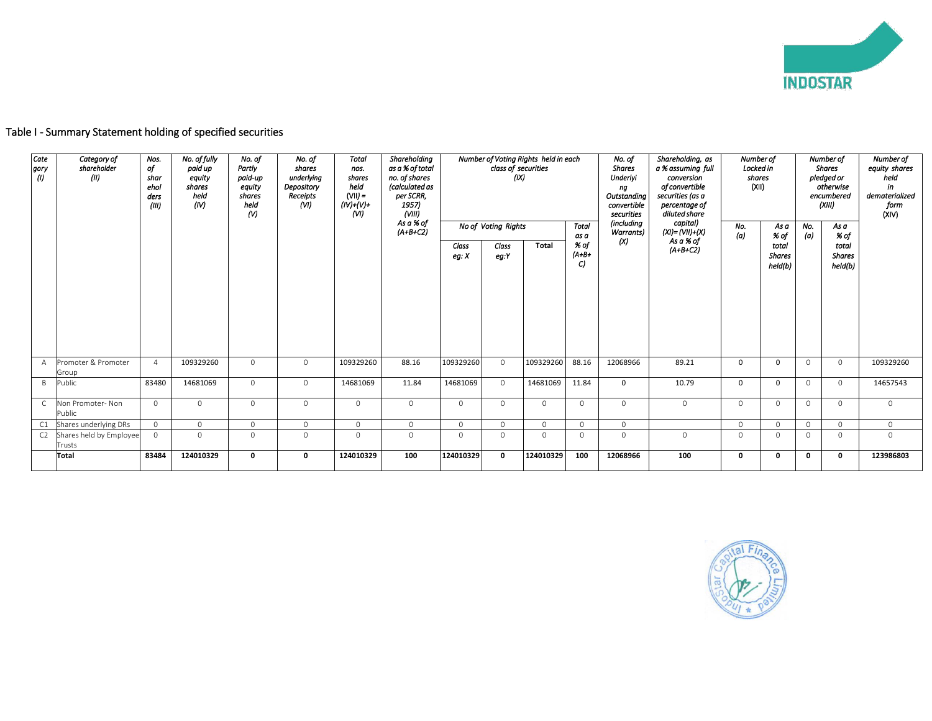

| Cate<br>gory | $\langle 0 \rangle$ | Category of<br>shareholder<br>(11) | Nos.<br>of<br>shar<br>ehol<br>ders<br>(III) | No. of fully<br>paid up<br>equity<br>shares<br>held<br>(IV) | Shareholding<br>No. of<br>Number of Voting Rights held in each<br><b>Total</b><br>No. of<br>shares<br>as a % of total<br>Partly<br>class of securities<br>nos.<br>underlvina<br>no. of shares<br>(IX)<br>paid-up<br>shares<br>held<br>(calculated as<br>Depository<br>equity<br>$(VII) =$<br>Receipts<br>per SCRR,<br>shares<br>held<br>(NI)<br>$(IV)+(V)+$<br>1957)<br>$\omega$<br>(VIII)<br>(VI)<br>As a % of<br>No of Voting Rights |             |           |            |                |               | Total     | No. of<br><b>Shares</b><br>Underlyi<br>ng<br>Outstandina<br>convertible<br>securities<br>(including | Shareholding, as<br>a % assuming full<br>conversion<br>of convertible<br>securities (as a<br>percentage of<br>diluted share<br>capital) | Number of<br>Locked in<br>shares<br>(XII)<br>No. |          | Number of<br><b>Shares</b><br>pledged or<br>otherwise<br>encumbered<br>(XIII)<br>No.<br>As a |              | Number of<br>equity shares<br>held<br>in<br>dematerialized<br>form<br>(XIV) |           |
|--------------|---------------------|------------------------------------|---------------------------------------------|-------------------------------------------------------------|----------------------------------------------------------------------------------------------------------------------------------------------------------------------------------------------------------------------------------------------------------------------------------------------------------------------------------------------------------------------------------------------------------------------------------------|-------------|-----------|------------|----------------|---------------|-----------|-----------------------------------------------------------------------------------------------------|-----------------------------------------------------------------------------------------------------------------------------------------|--------------------------------------------------|----------|----------------------------------------------------------------------------------------------|--------------|-----------------------------------------------------------------------------|-----------|
|              |                     |                                    |                                             |                                                             |                                                                                                                                                                                                                                                                                                                                                                                                                                        |             |           | $(A+B+C2)$ | Class<br>eg: X | Class<br>eg:Y | Total     | as a<br>% of<br>$(A+B+)$<br>C)                                                                      | <b>Warrants</b> )<br>(X)                                                                                                                | $(XI) = (VII)+(X)$<br>As a % of<br>$(A+B+C2)$    | (a)      | % of<br>total<br><b>Shares</b><br>held(b)                                                    | (a)          | % of<br>total<br><b>Shares</b><br>held(b)                                   |           |
|              | $\overline{A}$      | Promoter & Promoter<br>Group       | $\overline{4}$                              | 109329260                                                   | $\Omega$                                                                                                                                                                                                                                                                                                                                                                                                                               | $\circ$     | 109329260 | 88.16      | 109329260      | $\circ$       | 109329260 | 88.16                                                                                               | 12068966                                                                                                                                | 89.21                                            | $\Omega$ | $\Omega$                                                                                     | $\Omega$     | $\circ$                                                                     | 109329260 |
|              | B                   | Public                             | 83480                                       | 14681069                                                    | $\circ$                                                                                                                                                                                                                                                                                                                                                                                                                                | $\circ$     | 14681069  | 11.84      | 14681069       | $\circ$       | 14681069  | 11.84                                                                                               | $\mathbf{0}$                                                                                                                            | 10.79                                            | $\Omega$ | <sup>0</sup>                                                                                 | $\mathbf{0}$ | $\mathbf 0$                                                                 | 14657543  |
|              | $\mathsf{C}$        | Non Promoter- Non<br>Public        | $\mathbf{0}$                                | $\circ$                                                     | $\Omega$                                                                                                                                                                                                                                                                                                                                                                                                                               | $\Omega$    | $\circ$   | $\circ$    | $\circ$        | $\Omega$      | $\Omega$  | $\Omega$                                                                                            | $\circ$                                                                                                                                 | $\mathbf 0$                                      | $\Omega$ | $\Omega$                                                                                     | $\Omega$     | $\mathbf{0}$                                                                | $\circ$   |
|              | C <sub>1</sub>      | Shares underlying DRs              | $\circ$                                     | $\circ$                                                     | $\circ$                                                                                                                                                                                                                                                                                                                                                                                                                                | $\circ$     | $\circ$   | $\circ$    | $\circ$        | $\circ$       | $\circ$   | $\circ$                                                                                             | $\mathbf{0}$                                                                                                                            |                                                  | $\circ$  | $\Omega$                                                                                     | $\circ$      | $\mathbf{0}$                                                                | $\circ$   |
|              | C <sub>2</sub>      | Shares held by Employee<br>Trusts  | $\circ$                                     | $\Omega$                                                    | $\Omega$                                                                                                                                                                                                                                                                                                                                                                                                                               | $\Omega$    | $\circ$   | $\circ$    | $\circ$        | $\Omega$      | $\Omega$  | $\Omega$                                                                                            | $\Omega$                                                                                                                                | $\Omega$                                         | $\Omega$ | $\Omega$                                                                                     | $\Omega$     | $\circ$                                                                     | $\circ$   |
|              |                     | Total                              | 83484                                       | 124010329                                                   | 0                                                                                                                                                                                                                                                                                                                                                                                                                                      | $\mathbf 0$ | 124010329 | 100        | 124010329      | $\mathbf 0$   | 124010329 | 100                                                                                                 | 12068966                                                                                                                                | 100                                              | 0        | O                                                                                            | 0            | 0                                                                           | 123986803 |

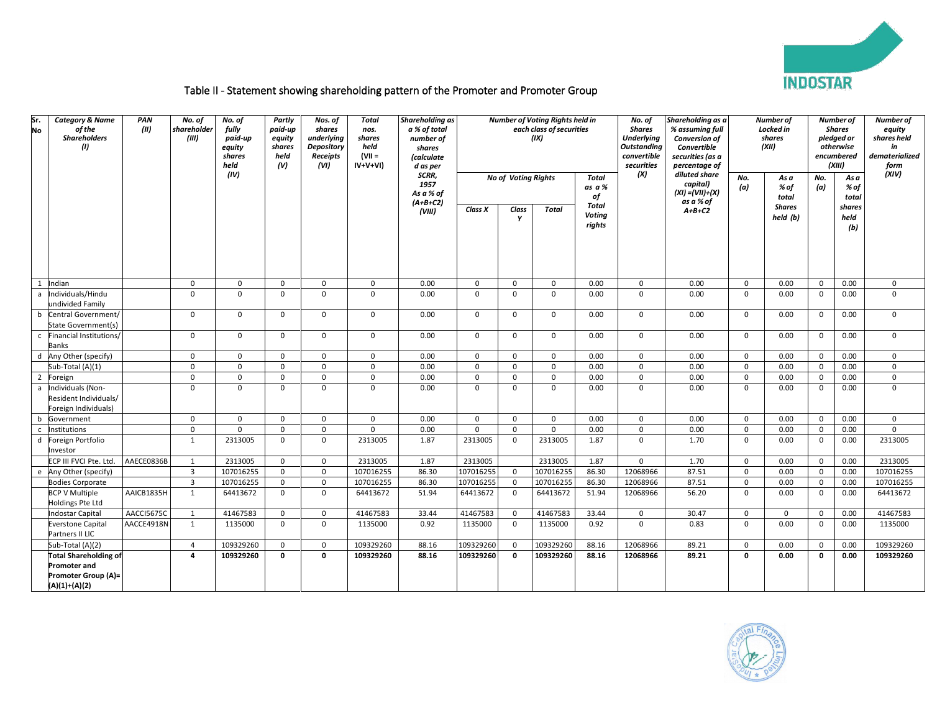

### Table II - Statement showing shareholding pattern of the Promoter and Promoter Group

| Sr.<br>No      | <b>Category &amp; Name</b><br>of the<br><b>Shareholders</b><br>(1) | PAN<br>(III) | No. of<br>shareholder<br>(III) | No. of<br>fully<br>paid-up<br>equity<br>shares<br>held | Partly<br>paid-up<br>equity<br>shares<br>held<br>(V) | Nos. of<br>shares<br>underlying<br>Depository<br>Receipts<br>(VI) | Total<br>nos.<br>shares<br>held<br>$ V   =$<br>$IV+V+VI)$ | <b>Shareholding as</b><br>a % of total<br>number of<br>shares<br>(calculate<br>d as per |             |                            | Number of Voting Rights held in<br>each class of securities<br>(IX) |                                  | No. of<br><b>Shares</b><br><b>Underlying</b><br><b>Outstanding</b><br>convertible<br>securities | Shareholding as a<br>% assuming full<br>Conversion of<br><b>Convertible</b><br>securities (as a<br>percentage of |              | Number of<br>Locked in<br>shares<br>(XII) |              | Number of<br><b>Shares</b><br>pledged or<br>otherwise<br>encumbered<br>(XIII) | Number of<br>equity<br>shares held<br>in<br>dematerialized<br>form |
|----------------|--------------------------------------------------------------------|--------------|--------------------------------|--------------------------------------------------------|------------------------------------------------------|-------------------------------------------------------------------|-----------------------------------------------------------|-----------------------------------------------------------------------------------------|-------------|----------------------------|---------------------------------------------------------------------|----------------------------------|-------------------------------------------------------------------------------------------------|------------------------------------------------------------------------------------------------------------------|--------------|-------------------------------------------|--------------|-------------------------------------------------------------------------------|--------------------------------------------------------------------|
|                |                                                                    |              |                                | (IV)                                                   |                                                      |                                                                   |                                                           | SCRR,<br>1957<br>As a % of                                                              |             | <b>No of Voting Rights</b> |                                                                     | Total<br>as a %<br>of            | (X)                                                                                             | diluted share<br>capital)<br>$(XI) = (VII)+(X)$                                                                  | No.<br>(a)   | As a<br>% of<br>total                     | No.<br>(a)   | As a<br>% of<br>total                                                         | (XIV)                                                              |
|                |                                                                    |              |                                |                                                        |                                                      |                                                                   |                                                           | $(A+B+C2)$<br>(VIII)                                                                    | Class X     | Class<br>Y                 | Total                                                               | Total<br><b>Voting</b><br>rights |                                                                                                 | as a % of<br>$A+B+C2$                                                                                            |              | <b>Shares</b><br>held (b)                 |              | shares<br>held<br>(b)                                                         |                                                                    |
| -1             | Indian                                                             |              | $\mathbf 0$                    | $\mathbf 0$                                            | $\mathbf 0$                                          | $\mathbf 0$                                                       | $\mathbf{0}$                                              | 0.00                                                                                    | $\mathbf 0$ | $\mathbf 0$                | 0                                                                   | 0.00                             | $\mathbf 0$                                                                                     | 0.00                                                                                                             | $\mathsf{O}$ | 0.00                                      | $\mathbf{0}$ | 0.00                                                                          | $\mathbf 0$                                                        |
| a              | Individuals/Hindu<br>undivided Family                              |              | $\mathbf 0$                    | $\mathbf 0$                                            | $\mathbf 0$                                          | $\mathbf 0$                                                       | $\mathbf 0$                                               | 0.00                                                                                    | $\mathbf 0$ | $\mathbf 0$                | 0                                                                   | 0.00                             | $\mathbf 0$                                                                                     | 0.00                                                                                                             | $\mathsf 0$  | 0.00                                      | $\mathbf 0$  | 0.00                                                                          | $\mathbf 0$                                                        |
| b              | Central Government/<br>State Government(s)                         |              | $\Omega$                       | $\mathbf 0$                                            | $\mathbf{0}$                                         | $\mathbf 0$                                                       | $\Omega$                                                  | 0.00                                                                                    | $\mathbf 0$ | $\mathbf{0}$               | $\mathbf{0}$                                                        | 0.00                             | $\mathbf 0$                                                                                     | 0.00                                                                                                             | $\mathsf{O}$ | 0.00                                      | $\mathbf 0$  | 0.00                                                                          | $\mathbf 0$                                                        |
| c              | Financial Institutions/<br><b>Banks</b>                            |              | $\mathbf 0$                    | $\mathbf 0$                                            | $\mathbf 0$                                          | 0                                                                 | $\mathbf{0}$                                              | 0.00                                                                                    | $\mathbf 0$ | $\mathbf 0$                | 0                                                                   | 0.00                             | $\mathbf 0$                                                                                     | 0.00                                                                                                             | 0            | 0.00                                      | $\mathbf 0$  | 0.00                                                                          | $\mathbf 0$                                                        |
| d              | Any Other (specify)                                                |              | $\mathbf 0$                    | $\mathbf 0$                                            | $\mathbf{0}$                                         | $\mathbf 0$                                                       | $\mathbf{0}$                                              | 0.00                                                                                    | $\mathbf 0$ | $\mathbf{0}$               | 0                                                                   | 0.00                             | $\mathbf 0$                                                                                     | 0.00                                                                                                             | 0            | 0.00                                      | $\mathbf 0$  | 0.00                                                                          | $\mathbf 0$                                                        |
|                | Sub-Total (A)(1)                                                   |              | $\Omega$                       | $\Omega$                                               | $\Omega$                                             | $\mathbf 0$                                                       | $\Omega$                                                  | 0.00                                                                                    | $\Omega$    | $\Omega$                   | 0                                                                   | 0.00                             | $\mathbf 0$                                                                                     | 0.00                                                                                                             | $\mathbf 0$  | 0.00                                      | $\mathbf 0$  | 0.00                                                                          | $\mathbf 0$                                                        |
| $\overline{2}$ | Foreign                                                            |              | $\Omega$                       | 0                                                      | $\mathbf 0$                                          | $\mathbf 0$                                                       | $\Omega$                                                  | 0.00                                                                                    | $\Omega$    | $\mathbf 0$                | 0                                                                   | 0.00                             | $\mathbf 0$                                                                                     | 0.00                                                                                                             | $\mathsf 0$  | 0.00                                      | $\mathsf 0$  | 0.00                                                                          | $\mathsf{O}$                                                       |
| a              | Individuals (Non-<br>Resident Individuals/<br>Foreign Individuals) |              | $\Omega$                       | $\Omega$                                               | $\Omega$                                             | $\Omega$                                                          | $\Omega$                                                  | 0.00                                                                                    | $\mathbf 0$ | $\Omega$                   | $\mathbf{0}$                                                        | 0.00                             | $\Omega$                                                                                        | 0.00                                                                                                             | $\mathbf{0}$ | 0.00                                      | $\mathbf 0$  | 0.00                                                                          | $\mathbf 0$                                                        |
| b              | Government                                                         |              | $\mathbf 0$                    | $\mathbf 0$                                            | $\mathbf 0$                                          | $\mathbf 0$                                                       | $\Omega$                                                  | 0.00                                                                                    | $\mathbf 0$ | $\mathbf 0$                | 0                                                                   | 0.00                             | $\mathbf 0$                                                                                     | 0.00                                                                                                             | $\mathbf 0$  | 0.00                                      | $\mathbf 0$  | 0.00                                                                          | $\mathbf 0$                                                        |
| $\mathsf{C}$   | Institutions                                                       |              | $\mathbf 0$                    | 0                                                      | 0                                                    | 0                                                                 | $\Omega$                                                  | 0.00                                                                                    | $\mathbf 0$ | $\mathbf 0$                | 0                                                                   | 0.00                             | $\mathbf 0$                                                                                     | 0.00                                                                                                             | 0            | 0.00                                      | $\mathbf 0$  | 0.00                                                                          | $\mathbf 0$                                                        |
| d              | Foreign Portfolio<br>Investor                                      |              | 1                              | 2313005                                                | $\mathbf 0$                                          | $\mathbf 0$                                                       | 2313005                                                   | 1.87                                                                                    | 2313005     | $\mathbf 0$                | 2313005                                                             | 1.87                             | $\Omega$                                                                                        | 1.70                                                                                                             | $\mathbf 0$  | 0.00                                      | $\mathbf 0$  | 0.00                                                                          | 2313005                                                            |
|                | ECP III FVCI Pte. Ltd                                              | AAECE0836B   | 1                              | 2313005                                                | $\mathbf 0$                                          | $\mathbf 0$                                                       | 2313005                                                   | 1.87                                                                                    | 2313005     |                            | 2313005                                                             | 1.87                             | $\mathbf 0$                                                                                     | 1.70                                                                                                             | $\mathsf 0$  | 0.00                                      | $\mathbf 0$  | 0.00                                                                          | 2313005                                                            |
| e              | Any Other (specify)                                                |              | $\overline{3}$                 | 107016255                                              | $\mathbf{0}$                                         | $\mathbf 0$                                                       | 107016255                                                 | 86.30                                                                                   | 107016255   | $\mathbf 0$                | 107016255                                                           | 86.30                            | 12068966                                                                                        | 87.51                                                                                                            | $\mathsf{O}$ | 0.00                                      | $\mathbf 0$  | 0.00                                                                          | 107016255                                                          |
|                | <b>Bodies Corporate</b>                                            |              | $\overline{3}$                 | 107016255                                              | 0                                                    | $\mathbf 0$                                                       | 107016255                                                 | 86.30                                                                                   | 107016255   | $\Omega$                   | 107016255                                                           | 86.30                            | 12068966                                                                                        | 87.51                                                                                                            | $\mathbf 0$  | 0.00                                      | $\mathbf 0$  | 0.00                                                                          | 107016255                                                          |
|                | <b>BCP V Multiple</b><br>Holdings Pte Ltd                          | AAICB1835H   | 1                              | 64413672                                               | $\mathbf 0$                                          | $\mathbf 0$                                                       | 64413672                                                  | 51.94                                                                                   | 64413672    | $\mathbf 0$                | 64413672                                                            | 51.94                            | 12068966                                                                                        | 56.20                                                                                                            | $\mathsf{O}$ | 0.00                                      | $\mathbf 0$  | 0.00                                                                          | 64413672                                                           |
|                | <b>Indostar Capital</b>                                            | AACCI5675C   | 1                              | 41467583                                               | $\mathsf 0$                                          | $\mathbf 0$                                                       | 41467583                                                  | 33.44                                                                                   | 41467583    | $\mathsf 0$                | 41467583                                                            | 33.44                            | $\mathbf 0$                                                                                     | 30.47                                                                                                            | $\mathsf{O}$ | $\mathsf 0$                               | $\mathbf 0$  | 0.00                                                                          | 41467583                                                           |
|                | <b>Everstone Capital</b><br>Partners II LIC                        | AACCE4918N   | 1                              | 1135000                                                | $\mathbf 0$                                          | $\mathbf 0$                                                       | 1135000                                                   | 0.92                                                                                    | 1135000     | $\mathbf 0$                | 1135000                                                             | 0.92                             | $\mathbf 0$                                                                                     | 0.83                                                                                                             | $\mathbf 0$  | 0.00                                      | $\mathbf 0$  | 0.00                                                                          | 1135000                                                            |
|                | Sub-Total (A)(2)                                                   |              | $\overline{4}$                 | 109329260                                              | $\mathbf{0}$                                         | $\mathbf 0$                                                       | 109329260                                                 | 88.16                                                                                   | 109329260   | $\mathbf 0$                | 109329260                                                           | 88.16                            | 12068966                                                                                        | 89.21                                                                                                            | 0            | 0.00                                      | $\mathbf 0$  | 0.00                                                                          | 109329260                                                          |
|                | <b>Total Shareholding of</b>                                       |              | 4                              | 109329260                                              | $\mathbf 0$                                          | $\mathbf 0$                                                       | 109329260                                                 | 88.16                                                                                   | 109329260   | $\mathbf 0$                | 109329260                                                           | 88.16                            | 12068966                                                                                        | 89.21                                                                                                            | $\mathbf 0$  | 0.00                                      | $\mathbf 0$  | 0.00                                                                          | 109329260                                                          |
|                | Promoter and<br>Promoter Group (A)=<br>$(A)(1)+(A)(2)$             |              |                                |                                                        |                                                      |                                                                   |                                                           |                                                                                         |             |                            |                                                                     |                                  |                                                                                                 |                                                                                                                  |              |                                           |              |                                                                               |                                                                    |

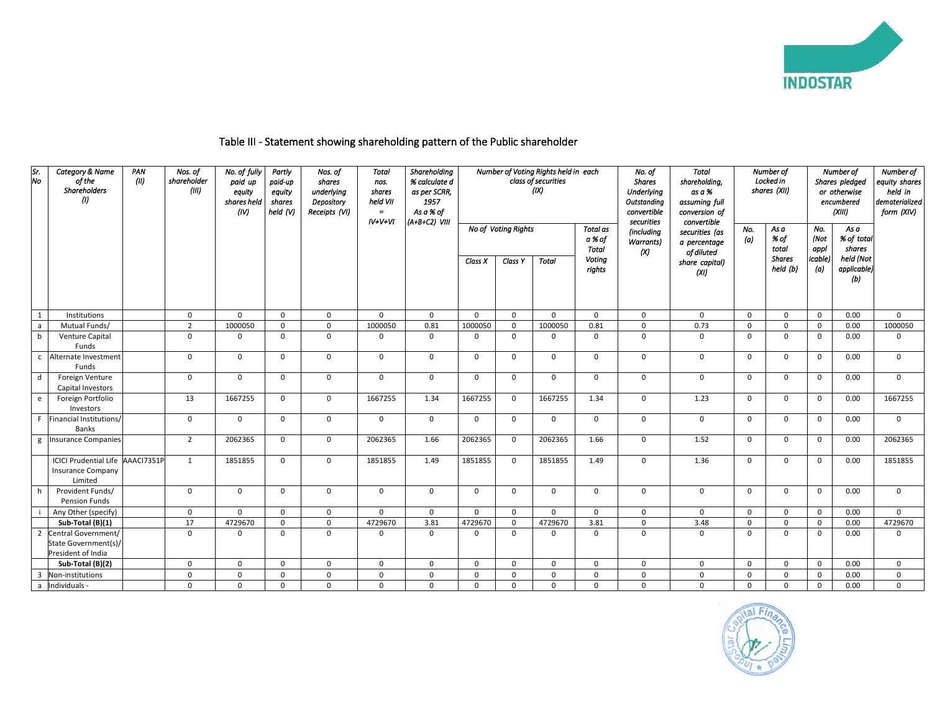

## Table III - Statement showing shareholding pattern of the Public shareholder

| Sr.<br>No    | Category & Name<br>of the<br><b>Shareholders</b><br>ω                   | PAN<br>(11) | Nos. of<br>shareholder<br>(III) | No. of fully<br>paid up<br>equity<br>shares held<br>(IV) | Partly<br>paid-up<br>equity<br>shares<br>held $(V)$ | Nos. of<br>shares<br>underlying<br>Depository<br>Receipts (VI) | <b>Total</b><br>nos.<br>shares<br>held VII<br>$=$<br>$IV+V+VI$ | Shareholding<br>% calculate d<br>as per SCRR,<br>1957<br>As a % of<br>(A+B+C2) VIII |             |                     | Number of Voting Rights held in each<br>class of securities<br>(IX) |                                    | No. of<br><b>Shares</b><br><b>Underlying</b><br>Outstanding<br>convertible<br>securities | Total<br>shareholdina,<br>as a %<br>assuming full<br>conversion of<br>convertible |              | Number of<br>Locked in<br>shares (XII) |                        | Number of<br>Shares pledged<br>or otherwise<br>encumbered<br>(XIII) | Number of<br>equity shares<br>held in<br>dematerialized<br>form (XIV) |
|--------------|-------------------------------------------------------------------------|-------------|---------------------------------|----------------------------------------------------------|-----------------------------------------------------|----------------------------------------------------------------|----------------------------------------------------------------|-------------------------------------------------------------------------------------|-------------|---------------------|---------------------------------------------------------------------|------------------------------------|------------------------------------------------------------------------------------------|-----------------------------------------------------------------------------------|--------------|----------------------------------------|------------------------|---------------------------------------------------------------------|-----------------------------------------------------------------------|
|              |                                                                         |             |                                 |                                                          |                                                     |                                                                |                                                                |                                                                                     |             | No of Voting Rights |                                                                     | Total as<br>a % of<br><b>Total</b> | (including<br><b>Warrants</b> )<br>(X)                                                   | securities (as<br>a percentage<br>of diluted                                      | No.<br>(a)   | As a<br>% of<br>total                  | No.<br>(Not<br>appl    | As a<br>% of total<br>shares                                        |                                                                       |
|              |                                                                         |             |                                 |                                                          |                                                     |                                                                |                                                                |                                                                                     | Class X     | Class Y             | <b>Total</b>                                                        | Voting<br>rights                   |                                                                                          | share capital)<br>(XI)                                                            |              | <b>Shares</b><br>held (b)              | <i>icable</i> )<br>(a) | held (Not<br>applicable)<br>(b)                                     |                                                                       |
| 1            | Institutions                                                            |             | $\mathbf 0$                     | $\mathbf{0}$                                             | $\Omega$                                            | $\mathbf 0$                                                    | $\Omega$                                                       | $\mathbf 0$                                                                         | $\mathbf 0$ | $\mathbf 0$         | $\Omega$                                                            | $\overline{0}$                     | $\mathbf 0$                                                                              | $\mathbf 0$                                                                       | $\mathbf{0}$ | $\mathbf 0$                            | $\mathbf 0$            | 0.00                                                                | $\mathbf 0$                                                           |
| $\mathsf{a}$ | Mutual Funds/                                                           |             | $\overline{2}$                  | 1000050                                                  | $\Omega$                                            | $\Omega$                                                       | 1000050                                                        | 0.81                                                                                | 1000050     | $\Omega$            | 1000050                                                             | 0.81                               | $\Omega$                                                                                 | 0.73                                                                              | $\mathbf 0$  | $\Omega$                               | $\overline{0}$         | 0.00                                                                | 1000050                                                               |
| $\mathbf b$  | Venture Capital<br>Funds                                                |             | $\mathbf 0$                     | 0                                                        | $\mathbf 0$                                         | $\mathbf{0}$                                                   | 0                                                              | $\mathbf 0$                                                                         | $\mathbf 0$ | $\mathbf 0$         | $\mathbf 0$                                                         | $\mathbf 0$                        | $\mathbf 0$                                                                              | $\mathbf 0$                                                                       | $\mathbf 0$  | $\mathbf{0}$                           | $\mathbf 0$            | 0.00                                                                | $\mathbf{0}$                                                          |
|              | c Alternate Investment<br>Funds                                         |             | $\Omega$                        | $\Omega$                                                 | $\mathbf 0$                                         | $\mathbf{0}$                                                   | $\Omega$                                                       | $\Omega$                                                                            | $\mathbf 0$ | $\mathbf 0$         | $\Omega$                                                            | $\mathbf 0$                        | $\mathbf 0$                                                                              | $\mathbf 0$                                                                       | $\mathsf{o}$ | $\Omega$                               | $\overline{0}$         | 0.00                                                                | $\mathbf{0}$                                                          |
| d            | Foreign Venture<br>Capital Investors                                    |             | $\mathbf 0$                     | $\mathbf{0}$                                             | $\mathbf 0$                                         | 0                                                              | $\mathbf 0$                                                    | $\mathbf 0$                                                                         | $\mathbf 0$ | $\mathbf{0}$        | $\mathbf 0$                                                         | $\overline{0}$                     | $\mathbf 0$                                                                              | $\mathsf{O}$                                                                      | $\mathsf{O}$ | $\mathbf 0$                            | $\overline{0}$         | 0.00                                                                | $\mathbf 0$                                                           |
| e            | Foreign Portfolio<br>Investors                                          |             | 13                              | 1667255                                                  | $\Omega$                                            | $\mathbf{0}$                                                   | 1667255                                                        | 1.34                                                                                | 1667255     | $\mathbf 0$         | 1667255                                                             | 1.34                               | $\mathbf 0$                                                                              | 1.23                                                                              | $\mathbf 0$  | $\mathbf 0$                            | $\mathbf 0$            | 0.00                                                                | 1667255                                                               |
| F.           | Financial Institutions/<br>Banks                                        |             | $\mathbf 0$                     | $\mathbf{0}$                                             | $\mathbf 0$                                         | $\mathbf{0}$                                                   | $\mathbf 0$                                                    | $\mathbf 0$                                                                         | $\mathbf 0$ | 0                   | $\mathbf 0$                                                         | $\mathbf 0$                        | $\mathbf 0$                                                                              | $\mathbf 0$                                                                       | $\mathbf 0$  | $\mathbf 0$                            | $\mathbf 0$            | 0.00                                                                | $\mathbf{0}$                                                          |
| g            | <b>Insurance Companies</b>                                              |             | $\overline{2}$                  | 2062365                                                  | $\mathbf 0$                                         | 0                                                              | 2062365                                                        | 1.66                                                                                | 2062365     | $\mathbf 0$         | 2062365                                                             | 1.66                               | $\mathbf 0$                                                                              | 1.52                                                                              | $\mathbf 0$  | $\mathbf{0}$                           | $\mathbf 0$            | 0.00                                                                | 2062365                                                               |
|              | ICICI Prudential Life AAACI7351P<br><b>Insurance Company</b><br>Limited |             | 1                               | 1851855                                                  | $\Omega$                                            | $\mathbf 0$                                                    | 1851855                                                        | 1.49                                                                                | 1851855     | $\mathbf 0$         | 1851855                                                             | 1.49                               | $\mathbf 0$                                                                              | 1.36                                                                              | $\mathsf 0$  | $\mathbf 0$                            | $\mathbf 0$            | 0.00                                                                | 1851855                                                               |
| h            | Provident Funds/<br>Pension Funds                                       |             | $\mathbf 0$                     | $\mathbf{0}$                                             | $\mathbf 0$                                         | $\mathbf{0}$                                                   | $\mathbf 0$                                                    | $\mathbf 0$                                                                         | $\mathbf 0$ | $\mathbf 0$         | $\Omega$                                                            | $\overline{0}$                     | $\mathbf 0$                                                                              | $\mathsf{O}$                                                                      | $\mathsf{O}$ | $\mathbf 0$                            | $\mathbf{0}$           | 0.00                                                                | $\mathbf{0}$                                                          |
|              | Any Other (specify)                                                     |             | $\mathbf 0$                     | $\mathbf{0}$                                             | $\mathbf 0$                                         | $\mathbf{0}$                                                   | $\Omega$                                                       | $\mathbf 0$                                                                         | $\mathbf 0$ | $\mathbf 0$         | $\mathbf 0$                                                         | $\mathbf 0$                        | $\mathbf 0$                                                                              | $\mathbf{0}$                                                                      | $\mathbf 0$  | $\mathbf 0$                            | $\mathbf 0$            | 0.00                                                                | $\mathbf 0$                                                           |
|              | Sub-Total (B)(1)                                                        |             | 17                              | 4729670                                                  | $\mathbf 0$                                         | $\mathbf 0$                                                    | 4729670                                                        | 3.81                                                                                | 4729670     | $\mathbf 0$         | 4729670                                                             | 3.81                               | $\mathbf 0$                                                                              | 3.48                                                                              | $\mathbf 0$  | $\Omega$                               | $\mathbf 0$            | 0.00                                                                | 4729670                                                               |
| 2            | Central Government/<br>State Government(s)/<br>President of India       |             | $\Omega$                        | $\Omega$                                                 | $\Omega$                                            | $\Omega$                                                       | $\Omega$                                                       | $\Omega$                                                                            | $\Omega$    | $\Omega$            | $\Omega$                                                            | $\Omega$                           | $\Omega$                                                                                 | $\mathbf 0$                                                                       | $\mathbf 0$  | $\Omega$                               | $\mathbf 0$            | 0.00                                                                | $\mathbf 0$                                                           |
|              | Sub-Total (B)(2)                                                        |             | $\mathbf 0$                     | 0                                                        | $\Omega$                                            | $\mathbf{0}$                                                   | $\mathbf 0$                                                    | $\mathbf 0$                                                                         | $\mathbf 0$ | $\mathbf 0$         | $\mathbf 0$                                                         | $\Omega$                           | $\mathbf 0$                                                                              | $\mathbf 0$                                                                       | $\mathbf 0$  | $\mathbf 0$                            | $\mathbf 0$            | 0.00                                                                | 0                                                                     |
| 3            | Non-institutions                                                        |             | $\mathbf 0$                     | $\Omega$                                                 | $\Omega$                                            | $\mathbf 0$                                                    | $\Omega$                                                       | $\mathbf 0$                                                                         | $\Omega$    | $\mathbf 0$         | $\Omega$                                                            | $\Omega$                           | $\mathbf 0$                                                                              | $\mathbf 0$                                                                       | $\mathbf 0$  | $\mathbf 0$                            | $\mathbf 0$            | 0.00                                                                | $\mathsf{o}$                                                          |
| a            | Individuals -                                                           |             | $\Omega$                        | 0                                                        | $\Omega$                                            | $\mathbf 0$                                                    | $\Omega$                                                       | $\Omega$                                                                            | $\mathbf 0$ | 0                   | $\Omega$                                                            | $\Omega$                           | $\mathbf 0$                                                                              | $\mathbf 0$                                                                       | $\mathbf 0$  | $\mathbf 0$                            | $\mathbf{0}$           | 0.00                                                                | 0                                                                     |

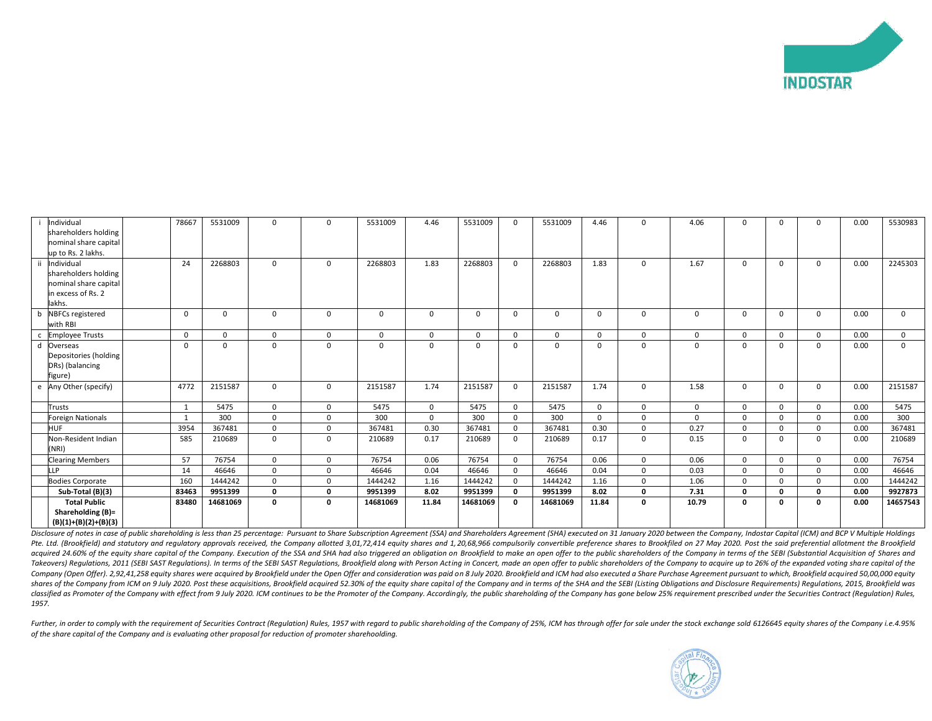

| Individual                                                         | 78667    | 5531009     | 0             | $\Omega$          | 5531009     | 4.46        | 5531009  | $\Omega$     | 5531009      | 4.46        | 0            | 4.06        | O            | $\Omega$    | $\Omega$     | 0.00 | 5530983      |
|--------------------------------------------------------------------|----------|-------------|---------------|-------------------|-------------|-------------|----------|--------------|--------------|-------------|--------------|-------------|--------------|-------------|--------------|------|--------------|
| shareholders holding                                               |          |             |               |                   |             |             |          |              |              |             |              |             |              |             |              |      |              |
| nominal share capital                                              |          |             |               |                   |             |             |          |              |              |             |              |             |              |             |              |      |              |
| up to Rs. 2 lakhs.                                                 |          |             |               |                   |             |             |          |              |              |             |              |             |              |             |              |      |              |
| Individual                                                         | 24       | 2268803     | 0             | 0                 | 2268803     | 1.83        | 2268803  | $\mathbf{0}$ | 2268803      | 1.83        | 0            | 1.67        | 0            | 0           | $\mathbf 0$  | 0.00 | 2245303      |
| shareholders holding                                               |          |             |               |                   |             |             |          |              |              |             |              |             |              |             |              |      |              |
| nominal share capital<br>in excess of Rs. 2                        |          |             |               |                   |             |             |          |              |              |             |              |             |              |             |              |      |              |
| lakhs.                                                             |          |             |               |                   |             |             |          |              |              |             |              |             |              |             |              |      |              |
|                                                                    | $\Omega$ | $\mathbf 0$ | $\mathbf 0$   | $\mathbf 0$       | $\mathbf 0$ | $\mathbf 0$ | $\Omega$ | $\mathbf{0}$ | $\mathbf{0}$ | $\mathbf 0$ | 0            | $\mathbf 0$ | 0            | $\Omega$    | $\mathbf{0}$ | 0.00 | $\mathbf{0}$ |
| b NBFCs registered<br>with RBI                                     |          |             |               |                   |             |             |          |              |              |             |              |             |              |             |              |      |              |
| <b>Employee Trusts</b>                                             | $\Omega$ | $\mathbf 0$ | $\mathbf 0$   | $\mathbf 0$       | 0           | $\mathbf 0$ | $\Omega$ | $\mathbf{0}$ | $\mathbf 0$  | $\Omega$    | $\mathbf 0$  | $\Omega$    | $\Omega$     | $\Omega$    | $\mathbf{0}$ | 0.00 | $\mathbf{0}$ |
| d Overseas                                                         | $\Omega$ | $\mathbf 0$ | $\mathbf 0$   | $\Omega$          | $\Omega$    | $\Omega$    | $\Omega$ | 0            | $\mathbf{0}$ | $\Omega$    | 0            | $\Omega$    | $\Omega$     | $\Omega$    | $\mathbf{0}$ | 0.00 | $\mathbf{0}$ |
| Depositories (holding                                              |          |             |               |                   |             |             |          |              |              |             |              |             |              |             |              |      |              |
| DRs) (balancing                                                    |          |             |               |                   |             |             |          |              |              |             |              |             |              |             |              |      |              |
| figure)                                                            |          |             |               |                   |             |             |          |              |              |             |              |             |              |             |              |      |              |
| e Any Other (specify)                                              | 4772     | 2151587     | 0             | $\mathbf{0}$      | 2151587     | 1.74        | 2151587  | $\mathbf{0}$ | 2151587      | 1.74        | $\Omega$     | 1.58        | 0            | $\Omega$    | $\mathbf 0$  | 0.00 | 2151587      |
| Trusts                                                             | 1        | 5475        | $\mathbf 0$   | $\mathbf{0}$      | 5475        | $\Omega$    | 5475     | $\Omega$     | 5475         | $\Omega$    | $\Omega$     | $\Omega$    | $\Omega$     | $\Omega$    | $\Omega$     | 0.00 | 5475         |
| Foreign Nationals                                                  |          | 300         | $\mathbf 0$   | $\mathbf 0$       | 300         | $\Omega$    | 300      | $\Omega$     | 300          | $\Omega$    | $\Omega$     | $\Omega$    | $\Omega$     | $\Omega$    | $\mathbf{0}$ | 0.00 | 300          |
| HUF                                                                | 3954     | 367481      | $\mathbf 0$   | $\mathbf 0$       | 367481      | 0.30        | 367481   | $\Omega$     | 367481       | 0.30        | $\mathbf 0$  | 0.27        | 0            | 0           | $\mathbf{0}$ | 0.00 | 367481       |
| Non-Resident Indian<br>(NRI)                                       | 585      | 210689      | $\mathbf 0$   | $\mathbf{0}$      | 210689      | 0.17        | 210689   | $\mathbf{0}$ | 210689       | 0.17        | $\mathbf{0}$ | 0.15        | $\mathbf 0$  | $\Omega$    | $\mathbf{0}$ | 0.00 | 210689       |
|                                                                    | 57       | 76754       | 0             | $\overline{0}$    | 76754       | 0.06        | 76754    | $\mathbf{0}$ | 76754        | 0.06        | $\mathbf 0$  | 0.06        | $\mathbf{0}$ | $\mathbf 0$ | $\mathbf{0}$ | 0.00 | 76754        |
| <b>Clearing Members</b><br><b>LP</b>                               | 14       | 46646       |               |                   | 46646       | 0.04        | 46646    | $\Omega$     | 46646        | 0.04        | $\Omega$     | 0.03        | $\mathbf 0$  | $\Omega$    | $\mathbf{0}$ | 0.00 | 46646        |
| <b>Bodies Corporate</b>                                            | 160      | 1444242     | 0<br>$\Omega$ | 0<br>$\mathbf{0}$ | 1444242     | 1.16        | 1444242  | $\Omega$     | 1444242      | 1.16        | $\Omega$     | 1.06        | $\Omega$     | $\Omega$    | $\Omega$     | 0.00 | 1444242      |
| Sub-Total (B)(3)                                                   | 83463    | 9951399     | $\mathbf 0$   | 0                 | 9951399     | 8.02        | 9951399  |              | 9951399      | 8.02        | $\mathbf{0}$ | 7.31        | $\Omega$     | $\Omega$    | 0            | 0.00 | 9927873      |
|                                                                    |          |             |               |                   |             |             |          |              |              |             |              |             |              |             |              |      |              |
| <b>Total Public</b><br>Shareholding (B)=<br>$(B)(1)+(B)(2)+(B)(3)$ | 83480    | 14681069    | 0             | $\mathbf{0}$      | 14681069    | 11.84       | 14681069 | $\mathbf{0}$ | 14681069     | 11.84       | 0            | 10.79       | 0            | O           | 0            | 0.00 | 14657543     |

Disclosure of notes in case of public shareholding is less than 25 percentage: Pursuant to Share Subscription Agreement (SSA) and Shareholders Agreement (SHA) executed on 31 January 2020 between the Company, Indostar Capit Pte. Ltd. (Brookfield) and statutory and requlatory approvals received, the Company allotted 3,01,72,414 equity shares and 1,20,68,966 compulsorily convertible preference shares to Brookfiled on 27 May 2020. Post the said acquired 24.60% of the equity share capital of the Company. Execution of the SSA and SHA had also triggered an obligation on Brookfield to make an open offer to the public shareholders of the Company in terms of the SEBI ( Takeovers) Regulations, 2011 (SEBI SAST Regulations). In terms of the SEBI SAST Regulations, Brookfield along with Person Acting in Concert, made an open offer to public shareholders of the Company to acquire up to 26% of Company (Open Offer). 2,92,41,258 equity shares were acquired by Brookfield under the Open Offer and consideration was paid on 8 July 2020. Brookfield and ICM had also executed a Share Purchase Agreement pursuant to which, shares of the Company from ICM on 9 July 2020. Post these acquisitions, Brookfield acquired 52.30% of the equity share capital of the Company and in terms of the SHA and the SEBI (Listing Obligations and Disclosure Require classified as Promoter of the Company with effect from 9 July 2020. ICM continues to be the Promoter of the Company. Accordingly, the public shareholding of the Company has gone below 25% requirement prescribed under the S *1957.*

Further, in order to comply with the requirement of Securities Contract (Regulation) Rules, 1957 with regard to public shareholding of the Company of 25%, ICM has through offer for sale under the stock exchange sold 612664 *of the share capital of the Company and is evaluating other proposal for reduction of promoter sharehoolding.*